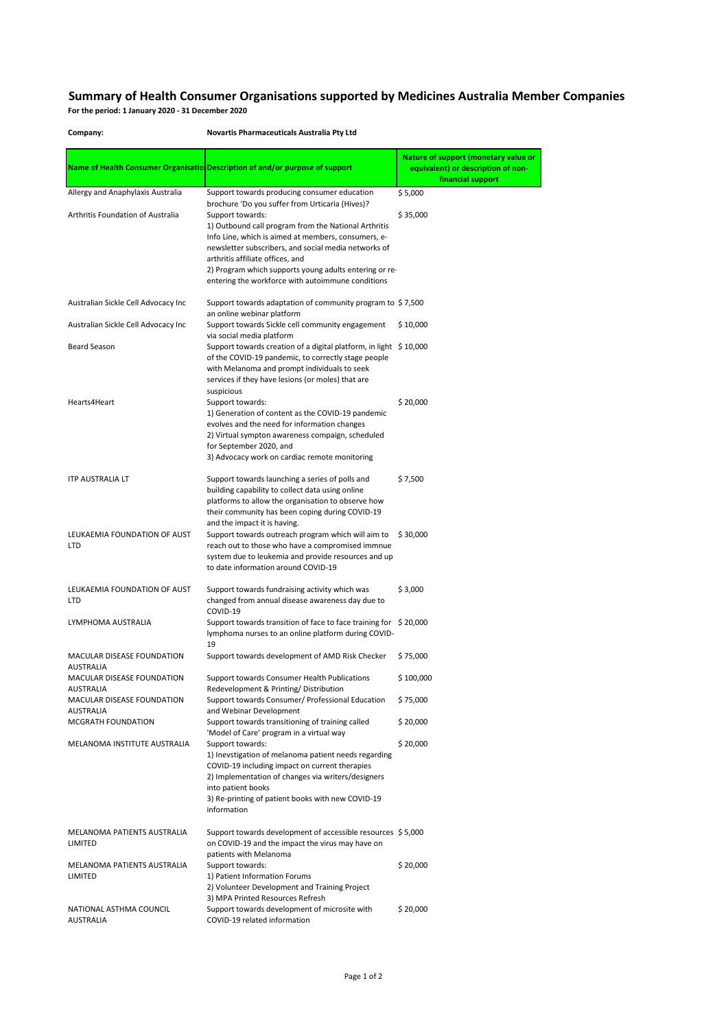## **Summary of Health Consumer Organisations supported by Medicines Australia Member Companies**

**For the period: 1 January 2020 - 31 December 2020**

|                                                | Name of Health Consumer Organisatio Description of and/or purpose of support                                                                                                                                                                                                                                                                                                                  | Nature of support (monetary value or<br>equivalent) or description of non-<br>financial support |
|------------------------------------------------|-----------------------------------------------------------------------------------------------------------------------------------------------------------------------------------------------------------------------------------------------------------------------------------------------------------------------------------------------------------------------------------------------|-------------------------------------------------------------------------------------------------|
| Allergy and Anaphylaxis Australia              | Support towards producing consumer education                                                                                                                                                                                                                                                                                                                                                  | \$5,000                                                                                         |
| Arthritis Foundation of Australia              | brochure 'Do you suffer from Urticaria (Hives)?<br>Support towards:<br>1) Outbound call program from the National Arthritis<br>Info Line, which is aimed at members, consumers, e-<br>newsletter subscribers, and social media networks of<br>arthritis affiliate offices, and<br>2) Program which supports young adults entering or re-<br>entering the workforce with autoimmune conditions | \$35,000                                                                                        |
| Australian Sickle Cell Advocacy Inc            | Support towards adaptation of community program to \$7,500<br>an online webinar platform                                                                                                                                                                                                                                                                                                      |                                                                                                 |
| Australian Sickle Cell Advocacy Inc            | Support towards Sickle cell community engagement<br>via social media platform                                                                                                                                                                                                                                                                                                                 | \$10,000                                                                                        |
| <b>Beard Season</b>                            | Support towards creation of a digital platform, in light \$10,000<br>of the COVID-19 pandemic, to correctly stage people<br>with Melanoma and prompt individuals to seek<br>services if they have lesions (or moles) that are<br>suspicious                                                                                                                                                   |                                                                                                 |
| Hearts4Heart                                   | Support towards:<br>1) Generation of content as the COVID-19 pandemic<br>evolves and the need for information changes<br>2) Virtual sympton awareness compaign, scheduled<br>for September 2020, and<br>3) Advocacy work on cardiac remote monitoring                                                                                                                                         | \$20,000                                                                                        |
| <b>ITP AUSTRALIA LT</b>                        | Support towards launching a series of polls and<br>building capability to collect data using online<br>platforms to allow the organisation to observe how<br>their community has been coping during COVID-19<br>and the impact it is having.                                                                                                                                                  | \$7,500                                                                                         |
| LEUKAEMIA FOUNDATION OF AUST<br>LTD            | Support towards outreach program which will aim to<br>reach out to those who have a compromised immnue<br>system due to leukemia and provide resources and up<br>to date information around COVID-19                                                                                                                                                                                          | \$30,000                                                                                        |
| LEUKAEMIA FOUNDATION OF AUST<br>LTD            | Support towards fundraising activity which was<br>changed from annual disease awareness day due to<br>COVID-19                                                                                                                                                                                                                                                                                | \$3,000                                                                                         |
| LYMPHOMA AUSTRALIA                             | Support towards transition of face to face training for \$20,000<br>lymphoma nurses to an online platform during COVID-<br>19                                                                                                                                                                                                                                                                 |                                                                                                 |
| MACULAR DISEASE FOUNDATION<br><b>AUSTRALIA</b> | Support towards development of AMD Risk Checker                                                                                                                                                                                                                                                                                                                                               | \$75,000                                                                                        |
| <b>MACULAR DISEASE FOUNDATION</b><br>AUSTRALIA | Support towards Consumer Health Publications<br>Redevelopment & Printing/Distribution                                                                                                                                                                                                                                                                                                         | \$100,000                                                                                       |
| MACULAR DISEASE FOUNDATION<br><b>AUSTRALIA</b> | Support towards Consumer/ Professional Education<br>and Webinar Development                                                                                                                                                                                                                                                                                                                   | \$75,000                                                                                        |
| MCGRATH FOUNDATION                             | Support towards transitioning of training called<br>'Model of Care' program in a virtual way                                                                                                                                                                                                                                                                                                  | \$20,000                                                                                        |
| MELANOMA INSTITUTE AUSTRALIA                   | Support towards:<br>1) Inevstigation of melanoma patient needs regarding<br>COVID-19 including impact on current therapies<br>2) Implementation of changes via writers/designers<br>into patient books<br>3) Re-printing of patient books with new COVID-19<br>information                                                                                                                    | \$20,000                                                                                        |
| MELANOMA PATIENTS AUSTRALIA<br><b>LIMITED</b>  | Support towards development of accessible resources \$5,000<br>on COVID-19 and the impact the virus may have on<br>patients with Melanoma                                                                                                                                                                                                                                                     |                                                                                                 |
| MELANOMA PATIENTS AUSTRALIA<br>LIMITED         | Support towards:<br>1) Patient Information Forums<br>2) Volunteer Development and Training Project<br>3) MPA Printed Resources Refresh                                                                                                                                                                                                                                                        | \$20,000                                                                                        |
| NATIONAL ASTHMA COUNCIL<br><b>AUSTRALIA</b>    | Support towards development of microsite with<br>COVID-19 related information                                                                                                                                                                                                                                                                                                                 | \$20,000                                                                                        |

## **Company: Novartis Pharmaceuticals Australia Pty Ltd**